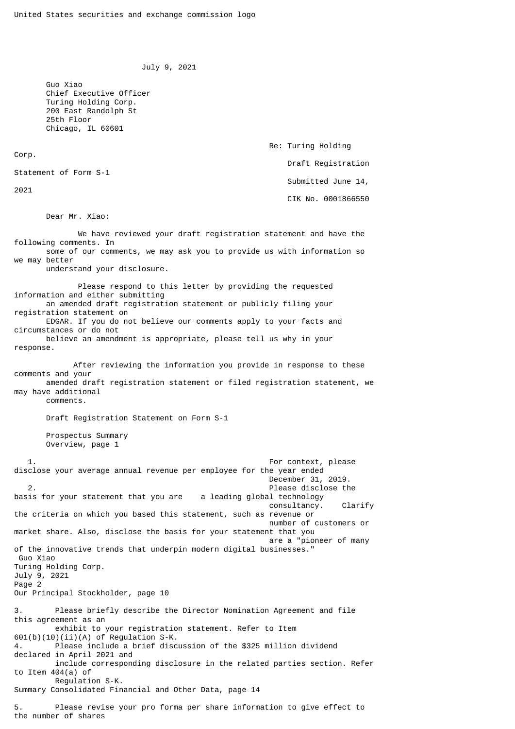```
 July 9, 2021
```
Re: Turing Holding

Draft Registration

Submitted June 14,

CIK No. 0001866550

 Guo Xiao Chief Executive Officer Turing Holding Corp. 200 East Randolph St 25th Floor Chicago, IL 60601

Corp.

Statement of Form S-1

2021

Dear Mr. Xiao:

 We have reviewed your draft registration statement and have the following comments. In some of our comments, we may ask you to provide us with information so we may better understand your disclosure. Please respond to this letter by providing the requested information and either submitting an amended draft registration statement or publicly filing your registration statement on EDGAR. If you do not believe our comments apply to your facts and circumstances or do not believe an amendment is appropriate, please tell us why in your response. After reviewing the information you provide in response to these comments and your amended draft registration statement or filed registration statement, we may have additional comments. Draft Registration Statement on Form S-1 Prospectus Summary Overview, page 1 1. For context, please disclose your average annual revenue per employee for the year ended December 31, 2019. 2. Please disclose the<br>is for your statement that you are a leading global technology basis for your statement that you are consultancy. Clarify the criteria on which you based this statement, such as revenue or number of customers or market share. Also, disclose the basis for your statement that you are a "pioneer of many of the innovative trends that underpin modern digital businesses." Guo Xiao Turing Holding Corp. July 9, 2021 Page 2 Our Principal Stockholder, page 10 3. Please briefly describe the Director Nomination Agreement and file this agreement as an exhibit to your registration statement. Refer to Item  $601(b)(10)(ii)(A)$  of Regulation S-K. Please include a brief discussion of the \$325 million dividend declared in April 2021 and include corresponding disclosure in the related parties section. Refer to Item 404(a) of Regulation S-K. Summary Consolidated Financial and Other Data, page 14

5. Please revise your pro forma per share information to give effect to the number of shares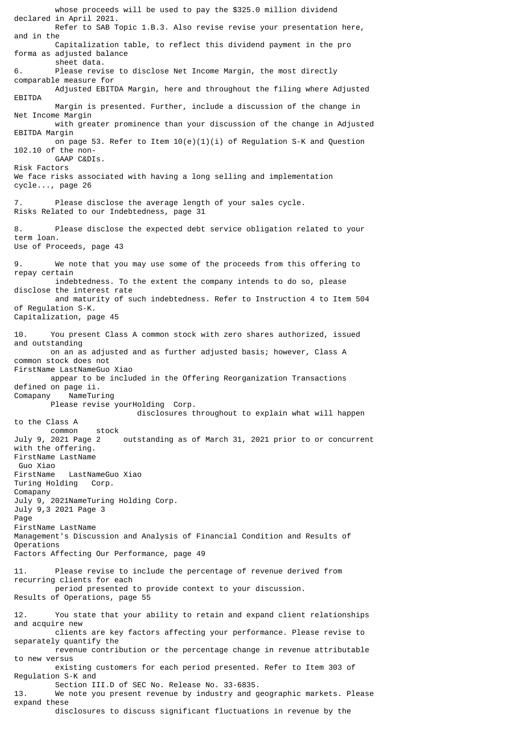declared in April 2021. Refer to SAB Topic 1.B.3. Also revise revise your presentation here, and in the Capitalization table, to reflect this dividend payment in the pro forma as adjusted balance sheet data. 6. Please revise to disclose Net Income Margin, the most directly comparable measure for Adjusted EBITDA Margin, here and throughout the filing where Adjusted EBITDA Margin is presented. Further, include a discussion of the change in Net Income Margin with greater prominence than your discussion of the change in Adjusted EBITDA Margin on page 53. Refer to Item  $10(e)(1)(i)$  of Regulation S-K and Question 102.10 of the non- GAAP C&DIs. Risk Factors We face risks associated with having a long selling and implementation cycle..., page 26 7. Please disclose the average length of your sales cycle. Risks Related to our Indebtedness, page 31 8. Please disclose the expected debt service obligation related to your term loan. Use of Proceeds, page 43 We note that you may use some of the proceeds from this offering to repay certain indebtedness. To the extent the company intends to do so, please disclose the interest rate and maturity of such indebtedness. Refer to Instruction 4 to Item 504 of Regulation S-K. Capitalization, page 45 10. You present Class A common stock with zero shares authorized, issued and outstanding on an as adjusted and as further adjusted basis; however, Class A common stock does not FirstName LastNameGuo Xiao appear to be included in the Offering Reorganization Transactions defined on page ii. Comapany NameTuring Please revise yourHolding Corp. disclosures throughout to explain what will happen to the Class A common stock July 9, 2021 Page 2 outstanding as of March 31, 2021 prior to or concurrent with the offering. FirstName LastName Guo Xiao FirstName LastNameGuo Xiao<br>Turing Holding Corp. Turing Holding Comapany July 9, 2021NameTuring Holding Corp. July 9,3 2021 Page 3 Page FirstName LastName Management's Discussion and Analysis of Financial Condition and Results of Operations Factors Affecting Our Performance, page 49 11. Please revise to include the percentage of revenue derived from recurring clients for each period presented to provide context to your discussion. Results of Operations, page 55 12. You state that your ability to retain and expand client relationships and acquire new clients are key factors affecting your performance. Please revise to separately quantify the revenue contribution or the percentage change in revenue attributable to new versus existing customers for each period presented. Refer to Item 303 of Regulation S-K and Section III.D of SEC No. Release No. 33-6835. 13. We note you present revenue by industry and geographic markets. Please expand these disclosures to discuss significant fluctuations in revenue by the

whose proceeds will be used to pay the \$325.0 million dividend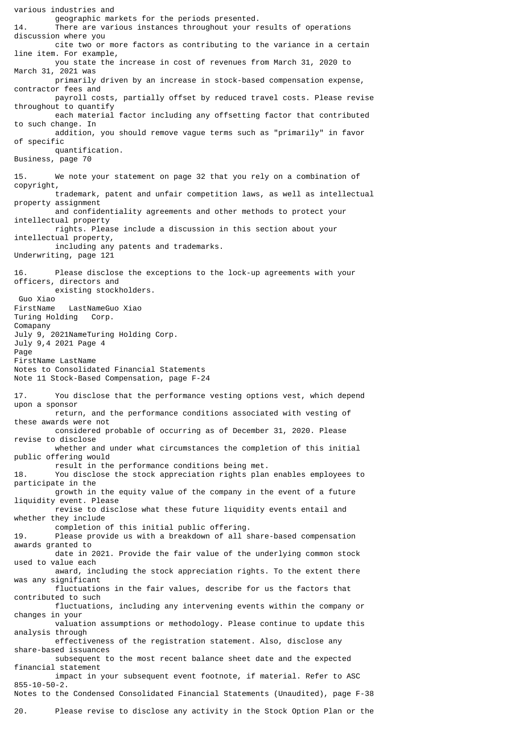various industries and geographic markets for the periods presented. 14. There are various instances throughout your results of operations discussion where you cite two or more factors as contributing to the variance in a certain line item. For example, you state the increase in cost of revenues from March 31, 2020 to March 31, 2021 was primarily driven by an increase in stock-based compensation expense, contractor fees and payroll costs, partially offset by reduced travel costs. Please revise throughout to quantify each material factor including any offsetting factor that contributed to such change. In addition, you should remove vague terms such as "primarily" in favor of specific quantification. Business, page 70 15. We note your statement on page 32 that you rely on a combination of copyright, trademark, patent and unfair competition laws, as well as intellectual property assignment and confidentiality agreements and other methods to protect your intellectual property rights. Please include a discussion in this section about your intellectual property, including any patents and trademarks. Underwriting, page 121 16. Please disclose the exceptions to the lock-up agreements with your officers, directors and existing stockholders. Guo Xiao LastNameGuo Xiao Turing Holding Corp. Comapany July 9, 2021NameTuring Holding Corp. July 9,4 2021 Page 4 Page FirstName LastName Notes to Consolidated Financial Statements Note 11 Stock-Based Compensation, page F-24 17. You disclose that the performance vesting options vest, which depend upon a sponsor return, and the performance conditions associated with vesting of these awards were not considered probable of occurring as of December 31, 2020. Please revise to disclose whether and under what circumstances the completion of this initial public offering would result in the performance conditions being met. 18. You disclose the stock appreciation rights plan enables employees to participate in the growth in the equity value of the company in the event of a future liquidity event. Please revise to disclose what these future liquidity events entail and whether they include completion of this initial public offering. 19. Please provide us with a breakdown of all share-based compensation awards granted to date in 2021. Provide the fair value of the underlying common stock used to value each award, including the stock appreciation rights. To the extent there was any significant fluctuations in the fair values, describe for us the factors that contributed to such fluctuations, including any intervening events within the company or changes in your valuation assumptions or methodology. Please continue to update this analysis through effectiveness of the registration statement. Also, disclose any share-based issuances subsequent to the most recent balance sheet date and the expected financial statement impact in your subsequent event footnote, if material. Refer to ASC 855-10-50-2. Notes to the Condensed Consolidated Financial Statements (Unaudited), page F-38

20. Please revise to disclose any activity in the Stock Option Plan or the